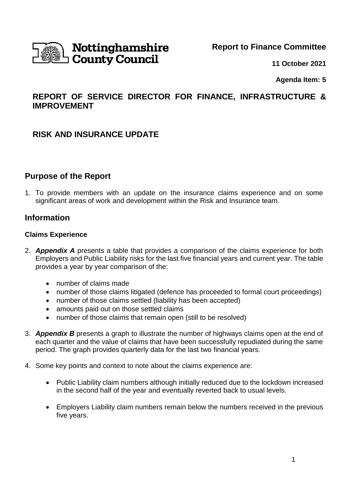

**Report to Finance Committee**

**11 October 2021**

**Agenda Item: 5**

# **REPORT OF SERVICE DIRECTOR FOR FINANCE, INFRASTRUCTURE & IMPROVEMENT**

# **RISK AND INSURANCE UPDATE**

# **Purpose of the Report**

1. To provide members with an update on the insurance claims experience and on some significant areas of work and development within the Risk and Insurance team.

# **Information**

#### **Claims Experience**

- 2. *Appendix A* presents a table that provides a comparison of the claims experience for both Employers and Public Liability risks for the last five financial years and current year. The table provides a year by year comparison of the:
	- number of claims made
	- number of those claims litigated (defence has proceeded to formal court proceedings)
	- number of those claims settled (liability has been accepted)
	- amounts paid out on those settled claims
	- number of those claims that remain open (still to be resolved)
- 3. *Appendix B* presents a graph to illustrate the number of highways claims open at the end of each quarter and the value of claims that have been successfully repudiated during the same period. The graph provides quarterly data for the last two financial years.
- 4. Some key points and context to note about the claims experience are:
	- Public Liability claim numbers although initially reduced due to the lockdown increased in the second half of the year and eventually reverted back to usual levels.
	- Employers Liability claim numbers remain below the numbers received in the previous five years.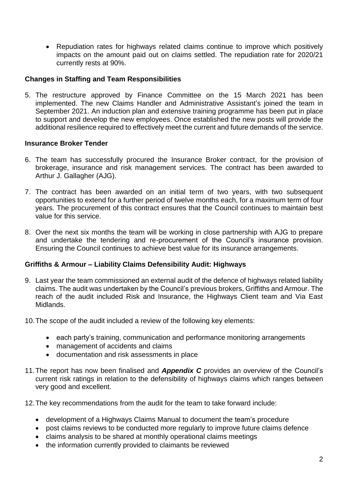• Repudiation rates for highways related claims continue to improve which positively impacts on the amount paid out on claims settled. The repudiation rate for 2020/21 currently rests at 90%.

### **Changes in Staffing and Team Responsibilities**

5. The restructure approved by Finance Committee on the 15 March 2021 has been implemented. The new Claims Handler and Administrative Assistant's joined the team in September 2021. An induction plan and extensive training programme has been put in place to support and develop the new employees. Once established the new posts will provide the additional resilience required to effectively meet the current and future demands of the service.

### **Insurance Broker Tender**

- 6. The team has successfully procured the Insurance Broker contract, for the provision of brokerage, insurance and risk management services. The contract has been awarded to Arthur J. Gallagher (AJG).
- 7. The contract has been awarded on an initial term of two years, with two subsequent opportunities to extend for a further period of twelve months each, for a maximum term of four years. The procurement of this contract ensures that the Council continues to maintain best value for this service.
- 8. Over the next six months the team will be working in close partnership with AJG to prepare and undertake the tendering and re-procurement of the Council's insurance provision. Ensuring the Council continues to achieve best value for its insurance arrangements.

## **Griffiths & Armour – Liability Claims Defensibility Audit: Highways**

- 9. Last year the team commissioned an external audit of the defence of highways related liability claims. The audit was undertaken by the Council's previous brokers, Griffiths and Armour. The reach of the audit included Risk and Insurance, the Highways Client team and Via East Midlands.
- 10.The scope of the audit included a review of the following key elements:
	- each party's training, communication and performance monitoring arrangements
	- management of accidents and claims
	- documentation and risk assessments in place
- 11.The report has now been finalised and *Appendix C* provides an overview of the Council's current risk ratings in relation to the defensibility of highways claims which ranges between very good and excellent.
- 12.The key recommendations from the audit for the team to take forward include:
	- development of a Highways Claims Manual to document the team's procedure
	- post claims reviews to be conducted more regularly to improve future claims defence
	- claims analysis to be shared at monthly operational claims meetings
	- the information currently provided to claimants be reviewed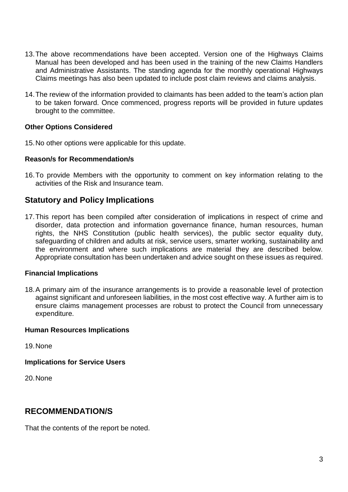- 13.The above recommendations have been accepted. Version one of the Highways Claims Manual has been developed and has been used in the training of the new Claims Handlers and Administrative Assistants. The standing agenda for the monthly operational Highways Claims meetings has also been updated to include post claim reviews and claims analysis.
- 14.The review of the information provided to claimants has been added to the team's action plan to be taken forward. Once commenced, progress reports will be provided in future updates brought to the committee.

### **Other Options Considered**

15.No other options were applicable for this update.

#### **Reason/s for Recommendation/s**

16.To provide Members with the opportunity to comment on key information relating to the activities of the Risk and Insurance team.

# **Statutory and Policy Implications**

17.This report has been compiled after consideration of implications in respect of crime and disorder, data protection and information governance finance, human resources, human rights, the NHS Constitution (public health services), the public sector equality duty, safeguarding of children and adults at risk, service users, smarter working, sustainability and the environment and where such implications are material they are described below. Appropriate consultation has been undertaken and advice sought on these issues as required.

#### **Financial Implications**

18.A primary aim of the insurance arrangements is to provide a reasonable level of protection against significant and unforeseen liabilities, in the most cost effective way. A further aim is to ensure claims management processes are robust to protect the Council from unnecessary expenditure.

#### **Human Resources Implications**

19.None

**Implications for Service Users**

20.None

## **RECOMMENDATION/S**

That the contents of the report be noted.